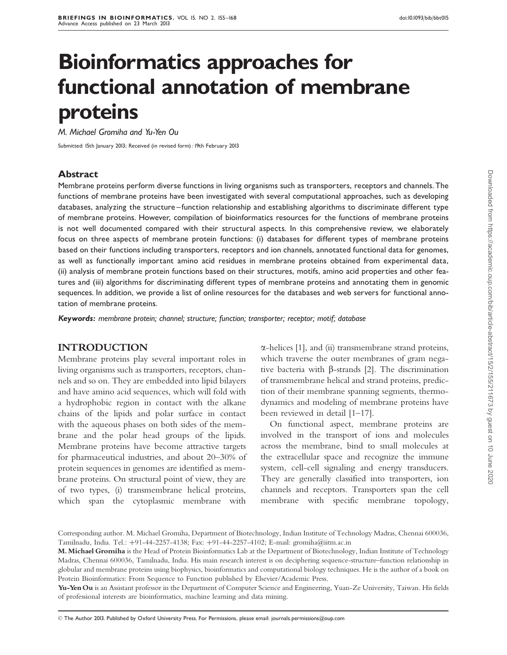# Bioinformatics approaches for functional annotation of membrane proteins

M. Michael Gromiha and Yu-Yen Ou

Submitted: 15th January 2013; Received (in revised form): 19th February 2013

#### **Abstract**

Membrane proteins perform diverse functions in living organisms such as transporters, receptors and channels. The functions of membrane proteins have been investigated with several computational approaches, such as developing databases, analyzing the structure–function relationship and establishing algorithms to discriminate different type of membrane proteins. However, compilation of bioinformatics resources for the functions of membrane proteins is not well documented compared with their structural aspects. In this comprehensive review, we elaborately focus on three aspects of membrane protein functions: (i) databases for different types of membrane proteins based on their functions including transporters, receptors and ion channels, annotated functional data for genomes, as well as functionally important amino acid residues in membrane proteins obtained from experimental data, (ii) analysis of membrane protein functions based on their structures, motifs, amino acid properties and other features and (iii) algorithms for discriminating different types of membrane proteins and annotating them in genomic sequences. In addition, we provide a list of online resources for the databases and web servers for functional annotation of membrane proteins.

Keywords: membrane protein; channel; structure; function; transporter; receptor; motif; database

## INTRODUCTION

Membrane proteins play several important roles in living organisms such as transporters, receptors, channels and so on. They are embedded into lipid bilayers and have amino acid sequences, which will fold with a hydrophobic region in contact with the alkane chains of the lipids and polar surface in contact with the aqueous phases on both sides of the membrane and the polar head groups of the lipids. Membrane proteins have become attractive targets for pharmaceutical industries, and about 20–30% of protein sequences in genomes are identified as membrane proteins. On structural point of view, they are of two types, (i) transmembrane helical proteins, which span the cytoplasmic membrane with

 $\alpha$ -helices [\[1](#page-11-0)], and (ii) transmembrane strand proteins, which traverse the outer membranes of gram negative bacteria with  $\beta$ -strands [\[2\]](#page-11-0). The discrimination of transmembrane helical and strand proteins, prediction of their membrane spanning segments, thermodynamics and modeling of membrane proteins have been reviewed in detail [[1–17](#page-11-0)].

On functional aspect, membrane proteins are involved in the transport of ions and molecules across the membrane, bind to small molecules at the extracellular space and recognize the immune system, cell-cell signaling and energy transducers. They are generally classified into transporters, ion channels and receptors. Transporters span the cell membrane with specific membrane topology,

- The Author 2013. Published by Oxford University Press. For Permissions, please email: journals.permissions@oup.com

Corresponding author. M. Michael Gromiha, Department of Biotechnology, Indian Institute of Technology Madras, Chennai 600036, Tamilnadu, India. Tel.: þ91-44-2257-4138; Fax: þ91-44-2257-4102; E-mail: gromiha@iitm.ac.in

M.Michael Gromiha is the Head of Protein Bioinformatics Lab at the Department of Biotechnology, Indian Institute of Technology Madras, Chennai 600036, Tamilnadu, India. His main research interest is on deciphering sequence-structure–function relationship in globular and membrane proteins using biophysics, bioinformatics and computational biology techniques. He is the author of a book on Protein Bioinformatics: From Sequence to Function published by Elsevier/Academic Press.

Yu-Yen Ou is an Assistant professor in the Department of Computer Science and Engineering, Yuan-Ze University, Taiwan. His fields of professional interests are bioinformatics, machine learning and data mining.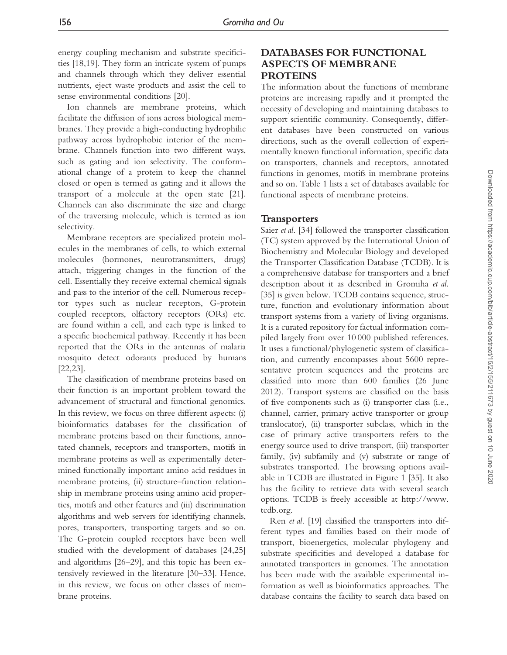energy coupling mechanism and substrate specificities [\[18](#page-11-0),[19\]](#page-11-0). They form an intricate system of pumps and channels through which they deliver essential nutrients, eject waste products and assist the cell to sense environmental conditions [\[20](#page-11-0)].

Ion channels are membrane proteins, which facilitate the diffusion of ions across biological membranes. They provide a high-conducting hydrophilic pathway across hydrophobic interior of the membrane. Channels function into two different ways, such as gating and ion selectivity. The conformational change of a protein to keep the channel closed or open is termed as gating and it allows the transport of a molecule at the open state [[21](#page-11-0)]. Channels can also discriminate the size and charge of the traversing molecule, which is termed as ion selectivity.

Membrane receptors are specialized protein molecules in the membranes of cells, to which external molecules (hormones, neurotransmitters, drugs) attach, triggering changes in the function of the cell. Essentially they receive external chemical signals and pass to the interior of the cell. Numerous receptor types such as nuclear receptors, G-protein coupled receptors, olfactory receptors (ORs) etc. are found within a cell, and each type is linked to a specific biochemical pathway. Recently it has been reported that the ORs in the antennas of malaria mosquito detect odorants produced by humans [\[22,23](#page-11-0)].

The classification of membrane proteins based on their function is an important problem toward the advancement of structural and functional genomics. In this review, we focus on three different aspects: (i) bioinformatics databases for the classification of membrane proteins based on their functions, annotated channels, receptors and transporters, motifs in membrane proteins as well as experimentally determined functionally important amino acid residues in membrane proteins, (ii) structure–function relationship in membrane proteins using amino acid properties, motifs and other features and (iii) discrimination algorithms and web servers for identifying channels, pores, transporters, transporting targets and so on. The G-protein coupled receptors have been well studied with the development of databases [[24,25\]](#page-11-0) and algorithms [\[26–29](#page-11-0)], and this topic has been extensively reviewed in the literature [\[30–33](#page-11-0)]. Hence, in this review, we focus on other classes of membrane proteins.

# DATABASES FOR FUNCTIONAL ASPECTS OF MEMBRANE **PROTEINS**

The information about the functions of membrane proteins are increasing rapidly and it prompted the necessity of developing and maintaining databases to support scientific community. Consequently, different databases have been constructed on various directions, such as the overall collection of experimentally known functional information, specific data on transporters, channels and receptors, annotated functions in genomes, motifs in membrane proteins and so on. [Table 1](#page-2-0) lists a set of databases available for functional aspects of membrane proteins.

#### **Transporters**

Saier et al. [[34\]](#page-12-0) followed the transporter classification (TC) system approved by the International Union of Biochemistry and Molecular Biology and developed the Transporter Classification Database (TCDB). It is a comprehensive database for transporters and a brief description about it as described in Gromiha et al. [\[35](#page-12-0)] is given below. TCDB contains sequence, structure, function and evolutionary information about transport systems from a variety of living organisms. It is a curated repository for factual information compiled largely from over 10 000 published references. It uses a functional/phylogenetic system of classification, and currently encompasses about 5600 representative protein sequences and the proteins are classified into more than 600 families (26 June 2012). Transport systems are classified on the basis of five components such as (i) transporter class (i.e., channel, carrier, primary active transporter or group translocator), (ii) transporter subclass, which in the case of primary active transporters refers to the energy source used to drive transport, (iii) transporter family, (iv) subfamily and (v) substrate or range of substrates transported. The browsing options available in TCDB are illustrated in [Figure 1](#page-3-0) [\[35](#page-12-0)]. It also has the facility to retrieve data with several search options. TCDB is freely accessible at [http://www.](http://www.tcdb.org) [tcdb.org.](http://www.tcdb.org)

Ren et al. [\[19\]](#page-11-0) classified the transporters into different types and families based on their mode of transport, bioenergetics, molecular phylogeny and substrate specificities and developed a database for annotated transporters in genomes. The annotation has been made with the available experimental information as well as bioinformatics approaches. The database contains the facility to search data based on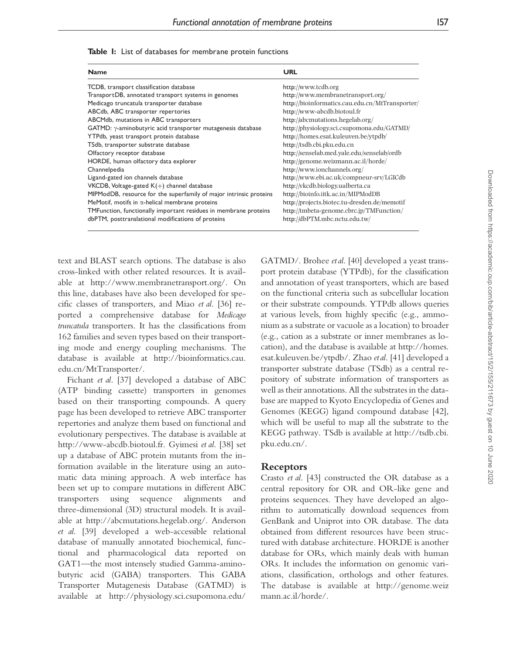<span id="page-2-0"></span>

|  |  |  |  |  | Table I: List of databases for membrane protein functions |  |  |
|--|--|--|--|--|-----------------------------------------------------------|--|--|
|--|--|--|--|--|-----------------------------------------------------------|--|--|

| <b>Name</b>                                                        | <b>URL</b>                                      |
|--------------------------------------------------------------------|-------------------------------------------------|
| TCDB, transport classification database                            | http://www.tcdb.org                             |
| TransportDB, annotated transport systems in genomes                | http://www.membranetransport.org/               |
| Medicago truncatula transporter database                           | http://bioinformatics.cau.edu.cn/MtTransporter/ |
| ABCdb, ABC transporter repertories                                 | http://www-abcdb.biotoul.fr                     |
| ABCMdb, mutations in ABC transporters                              | http://abcmutations.hegelab.org/                |
| GATMD: y-aminobutyric acid transporter mutagenesis database        | http://physiology.sci.csupomona.edu/GATMD/      |
| YTPdb, yeast transport protein database                            | http://homes.esat.kuleuven.be/ytpdb/            |
| TSdb, transporter substrate database                               | http://tsdb.cbi.pku.edu.cn                      |
| Olfactory receptor database                                        | http://senselab.med.yale.edu/senselab/ordb      |
| HORDE, human olfactory data explorer                               | http://genome.weizmann.ac.il/horde/             |
| Channelpedia                                                       | http://www.ionchannels.org/                     |
| Ligand-gated ion channels database                                 | http://www.ebi.ac.uk/compneur-srv/LGICdb        |
| VKCDB, Voltage-gated $K(+)$ channel database                       | http://vkcdb.biology.ualberta.ca                |
| MIPModDB, resource for the superfamily of major intrinsic proteins | http://bioinfo.iitk.ac.in/MIPModDB              |
| MeMotif, motifs in $\alpha$ -helical membrane proteins             | http://projects.biotec.tu-dresden.de/memotif    |
| TMFunction, functionally important residues in membrane proteins   | http://tmbeta-genome.cbrc.jp/TMFunction/        |
| dbPTM, posttranslational modifications of proteins                 | http://dbPTM.mbc.nctu.edu.tw/                   |

text and BLAST search options. The database is also cross-linked with other related resources. It is available at<http://www.membranetransport.org/>. On this line, databases have also been developed for specific classes of transporters, and Miao et al. [\[36\]](#page-12-0) reported a comprehensive database for Medicago truncatula transporters. It has the classifications from 162 families and seven types based on their transporting mode and energy coupling mechanisms. The database is available at [http://bioinformatics.cau.](http://bioinformatics.cau.edu.cn/MtTransporter/) [edu.cn/MtTransporter/](http://bioinformatics.cau.edu.cn/MtTransporter/).

Fichant et al. [[37\]](#page-12-0) developed a database of ABC (ATP binding cassette) transporters in genomes based on their transporting compounds. A query page has been developed to retrieve ABC transporter repertories and analyze them based on functional and evolutionary perspectives. The database is available at <http://www-abcdb.biotoul.fr>. Gyimesi et al. [\[38\]](#page-12-0) set up a database of ABC protein mutants from the information available in the literature using an automatic data mining approach. A web interface has been set up to compare mutations in different ABC transporters using sequence alignments and three-dimensional (3D) structural models. It is available at<http://abcmutations.hegelab.org/>. Anderson et al. [\[39](#page-12-0)] developed a web-accessible relational database of manually annotated biochemical, functional and pharmacological data reported on GAT1—the most intensely studied Gamma-aminobutyric acid (GABA) transporters. This GABA Transporter Mutagenesis Database (GATMD) is available at [http://physiology.sci.csupomona.edu/](http://physiology.sci.csupomona.edu/GATMD/)

[GATMD/.](http://physiology.sci.csupomona.edu/GATMD/) Brohee etal. [[40](#page-12-0)] developed a yeast transport protein database (YTPdb), for the classification and annotation of yeast transporters, which are based on the functional criteria such as subcellular location or their substrate compounds. YTPdb allows queries at various levels, from highly specific (e.g., ammonium as a substrate or vacuole as a location) to broader (e.g., cation as a substrate or inner membranes as location), and the database is available at [http://homes.](http://homes.esat.kuleuven.be/ytpdb/) [esat.kuleuven.be/ytpdb/.](http://homes.esat.kuleuven.be/ytpdb/) Zhao etal. [[41](#page-12-0)] developed a transporter substrate database (TSdb) as a central repository of substrate information of transporters as well as their annotations. All the substrates in the database are mapped to Kyoto Encyclopedia of Genes and Genomes (KEGG) ligand compound database [[42](#page-12-0)], which will be useful to map all the substrate to the KEGG pathway. TSdb is available at [http://tsdb.cbi.](http://tsdb.cbi.pku.edu.cn/) [pku.edu.cn/](http://tsdb.cbi.pku.edu.cn/).

#### Receptors

Crasto et al. [[43](#page-12-0)] constructed the OR database as a central repository for OR and OR-like gene and proteins sequences. They have developed an algorithm to automatically download sequences from GenBank and Uniprot into OR database. The data obtained from different resources have been structured with database architecture. HORDE is another database for ORs, which mainly deals with human ORs. It includes the information on genomic variations, classification, orthologs and other features. The database is available at [http://genome.weiz](http://genome.weizmann.ac.il/horde/) [mann.ac.il/horde/](http://genome.weizmann.ac.il/horde/).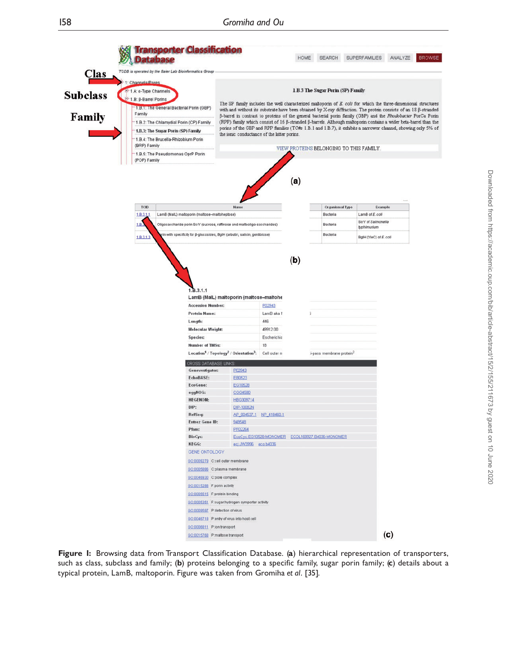<span id="page-3-0"></span>

Figure 1: Browsing data from Transport Classification Database. (a) hierarchical representation of transporters, such as class, subclass and family; (b) proteins belonging to a specific family, sugar porin family; (c) details about a typical protein, LamB, maltoporin. Figure was taken from Gromiha et al. [[35](#page-12-0)].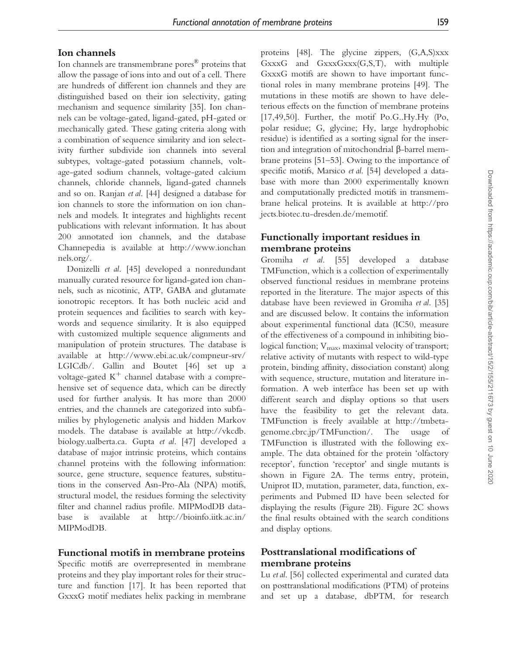#### Ion channels

Ion channels are transmembrane pores<sup>®</sup> proteins that allow the passage of ions into and out of a cell. There are hundreds of different ion channels and they are distinguished based on their ion selectivity, gating mechanism and sequence similarity [\[35](#page-12-0)]. Ion channels can be voltage-gated, ligand-gated, pH-gated or mechanically gated. These gating criteria along with a combination of sequence similarity and ion selectivity further subdivide ion channels into several subtypes, voltage-gated potassium channels, voltage-gated sodium channels, voltage-gated calcium channels, chloride channels, ligand-gated channels and so on. Ranjan et al. [[44](#page-12-0)] designed a database for ion channels to store the information on ion channels and models. It integrates and highlights recent publications with relevant information. It has about 200 annotated ion channels, and the database Channepedia is available at [http://www.ionchan](http://www.ionchannels.org/) [nels.org/](http://www.ionchannels.org/).

Donizelli et al. [[45](#page-12-0)] developed a nonredundant manually curated resource for ligand-gated ion channels, such as nicotinic, ATP, GABA and glutamate ionotropic receptors. It has both nucleic acid and protein sequences and facilities to search with keywords and sequence similarity. It is also equipped with customized multiple sequence alignments and manipulation of protein structures. The database is available at [http://www.ebi.ac.uk/compneur-srv/](http://www.ebi.ac.uk/compneur-srv/LGICdb/) [LGICdb/](http://www.ebi.ac.uk/compneur-srv/LGICdb/). Gallin and Boutet [\[46](#page-12-0)] set up a voltage-gated  $K^+$  channel database with a comprehensive set of sequence data, which can be directly used for further analysis. It has more than 2000 entries, and the channels are categorized into subfamilies by phylogenetic analysis and hidden Markov models. The database is available at [http://vkcdb.](http://vkcdb.biology.ualberta.ca) [biology.ualberta.ca.](http://vkcdb.biology.ualberta.ca) Gupta et al. [\[47](#page-12-0)] developed a database of major intrinsic proteins, which contains channel proteins with the following information: source, gene structure, sequence features, substitutions in the conserved Asn-Pro-Ala (NPA) motifs, structural model, the residues forming the selectivity filter and channel radius profile. MIPModDB database is available at [http://bioinfo.iitk.ac.in/](http://bioinfo.iitk.ac.in/MIPModDB) [MIPModDB](http://bioinfo.iitk.ac.in/MIPModDB).

# Functional motifs in membrane proteins

Specific motifs are overrepresented in membrane proteins and they play important roles for their structure and function [[17\]](#page-11-0). It has been reported that GxxxG motif mediates helix packing in membrane proteins [\[48](#page-12-0)]. The glycine zippers, (G,A,S)xxx GxxxG and GxxxGxxx(G,S,T), with multiple GxxxG motifs are shown to have important functional roles in many membrane proteins [\[49\]](#page-12-0). The mutations in these motifs are shown to have deleterious effects on the function of membrane proteins [\[17](#page-11-0),[49,50\]](#page-12-0). Further, the motif Po.G..Hy.Hy (Po, polar residue; G, glycine; Hy, large hydrophobic residue) is identified as a sorting signal for the insertion and integration of mitochondrial  $\beta$ -barrel membrane proteins [[51–53\]](#page-12-0). Owing to the importance of specific motifs, Marsico et al. [\[54](#page-12-0)] developed a database with more than 2000 experimentally known and computationally predicted motifs in transmembrane helical proteins. It is available at [http://pro](http://projects.biotec.tu-dresden.de/memotif) [jects.biotec.tu-dresden.de/memotif](http://projects.biotec.tu-dresden.de/memotif).

# Functionally important residues in membrane proteins

Gromiha et al. [[55\]](#page-12-0) developed a database TMFunction, which is a collection of experimentally observed functional residues in membrane proteins reported in the literature. The major aspects of this database have been reviewed in Gromiha et al. [\[35](#page-12-0)] and are discussed below. It contains the information about experimental functional data (IC50, measure of the effectiveness of a compound in inhibiting biological function;  $V_{\text{max}}$ , maximal velocity of transport; relative activity of mutants with respect to wild-type protein, binding affinity, dissociation constant) along with sequence, structure, mutation and literature information. A web interface has been set up with different search and display options so that users have the feasibility to get the relevant data. TMFunction is freely available at [http://tmbeta](http://tmbeta-genome.cbrc.jp/TMFunction/)[genome.cbrc.jp/TMFunction/.](http://tmbeta-genome.cbrc.jp/TMFunction/) The usage of TMFunction is illustrated with the following example. The data obtained for the protein 'olfactory receptor', function 'receptor' and single mutants is shown in [Figure 2](#page-5-0)A. The terms entry, protein, Uniprot ID, mutation, parameter, data, function, experiments and Pubmed ID have been selected for displaying the results [\(Figure 2](#page-5-0)B). [Figure 2](#page-5-0)C shows the final results obtained with the search conditions and display options.

# Posttranslational modifications of membrane proteins

Lu et al. [[56](#page-12-0)] collected experimental and curated data on posttranslational modifications (PTM) of proteins and set up a database, dbPTM, for research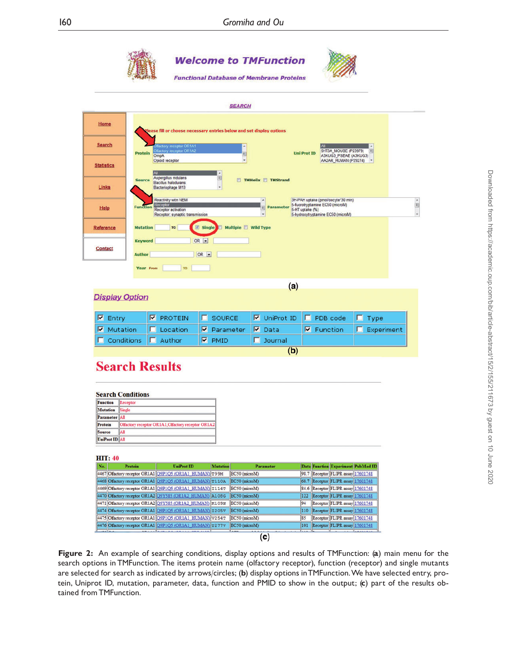

# **Welcome to TMFunction**



**Functional Database of Membrane Proteins** 

<span id="page-5-0"></span>

Figure 2: An example of searching conditions, display options and results of TMFunction: (a) main menu for the search options in TMFunction. The items protein name (olfactory receptor), function (receptor) and single mutants are selected for search as indicated by arrows/circles; (b) display options in TMFunction. We have selected entry, protein, Uniprot ID, mutation, parameter, data, function and PMID to show in the output; (c) part of the results obtained from TMFunction.

 $(c)$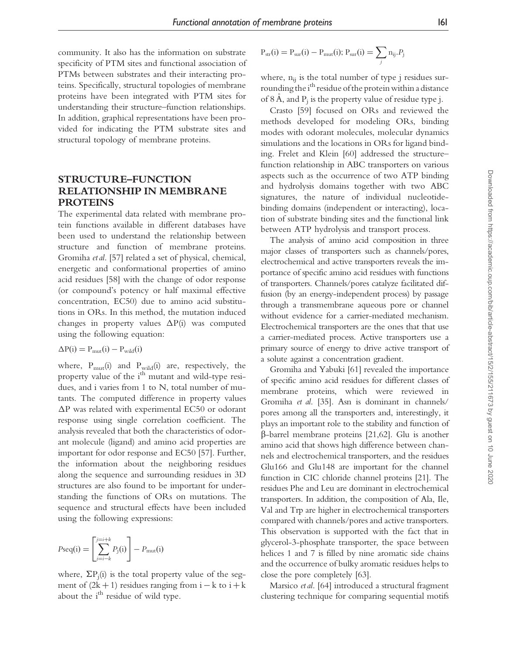community. It also has the information on substrate specificity of PTM sites and functional association of PTMs between substrates and their interacting proteins. Specifically, structural topologies of membrane proteins have been integrated with PTM sites for understanding their structure–function relationships. In addition, graphical representations have been provided for indicating the PTM substrate sites and structural topology of membrane proteins.

# STRUCTURE-FUNCTION RELATIONSHIP IN MEMBRANE PROTEINS

The experimental data related with membrane protein functions available in different databases have been used to understand the relationship between structure and function of membrane proteins. Gromiha et al. [\[57\]](#page-12-0) related a set of physical, chemical, energetic and conformational properties of amino acid residues [\[58](#page-12-0)] with the change of odor response (or compound's potency or half maximal effective concentration, EC50) due to amino acid substitutions in ORs. In this method, the mutation induced changes in property values  $\Delta P(i)$  was computed using the following equation:

$$
\Delta P(i) = P_{mut}(i) - P_{wild}(i)
$$

where,  $P_{mut}(i)$  and  $P_{wild}(i)$  are, respectively, the property value of the i<sup>th</sup> mutant and wild-type residues, and i varies from 1 to N, total number of mutants. The computed difference in property values -P was related with experimental EC50 or odorant response using single correlation coefficient. The analysis revealed that both the characteristics of odorant molecule (ligand) and amino acid properties are important for odor response and EC50 [[57](#page-12-0)]. Further, the information about the neighboring residues along the sequence and surrounding residues in 3D structures are also found to be important for understanding the functions of ORs on mutations. The sequence and structural effects have been included using the following expressions:

$$
Pseq(i) = \left[\sum_{j=i-k}^{j=i+k} P_j(i)\right] - P_{\text{mut}}(i)
$$

where,  $\Sigma P_j(i)$  is the total property value of the segment of  $(2k + 1)$  residues ranging from  $i - k$  to  $i + k$ about the i<sup>th</sup> residue of wild type.

$$
P_{str}(i) = P_{sur}(i) - P_{mut}(i); P_{sur}(i) = \sum_j n_{ij}.P_j
$$

where,  $n_{ii}$  is the total number of type j residues surrounding the i<sup>th</sup> residue of the protein within a distance of 8 Å, and  $P_i$  is the property value of residue type j.

Crasto [[59](#page-12-0)] focused on ORs and reviewed the methods developed for modeling ORs, binding modes with odorant molecules, molecular dynamics simulations and the locations in ORs for ligand binding. Frelet and Klein [\[60\]](#page-12-0) addressed the structure– function relationship in ABC transporters on various aspects such as the occurrence of two ATP binding and hydrolysis domains together with two ABC signatures, the nature of individual nucleotidebinding domains (independent or interacting), location of substrate binding sites and the functional link between ATP hydrolysis and transport process.

The analysis of amino acid composition in three major classes of transporters such as channels/pores, electrochemical and active transporters reveals the importance of specific amino acid residues with functions of transporters. Channels/pores catalyze facilitated diffusion (by an energy-independent process) by passage through a transmembrane aqueous pore or channel without evidence for a carrier-mediated mechanism. Electrochemical transporters are the ones that that use a carrier-mediated process. Active transporters use a primary source of energy to drive active transport of a solute against a concentration gradient.

Gromiha and Yabuki [\[61\]](#page-12-0) revealed the importance of specific amino acid residues for different classes of membrane proteins, which were reviewed in Gromiha et al. [[35](#page-12-0)]. Asn is dominant in channels/ pores among all the transporters and, interestingly, it plays an important role to the stability and function of  $\beta$ -barrel membrane proteins [[21](#page-11-0)[,62](#page-12-0)]. Glu is another amino acid that shows high difference between channels and electrochemical transporters, and the residues Glu166 and Glu148 are important for the channel function in CIC chloride channel proteins [[21](#page-11-0)]. The residues Phe and Leu are dominant in electrochemical transporters. In addition, the composition of Ala, Ile, Val and Trp are higher in electrochemical transporters compared with channels/pores and active transporters. This observation is supported with the fact that in glycerol-3-phosphate transporter, the space between helices 1 and 7 is filled by nine aromatic side chains and the occurrence of bulky aromatic residues helps to close the pore completely [\[63\]](#page-12-0).

Marsico et al. [[64\]](#page-12-0) introduced a structural fragment clustering technique for comparing sequential motifs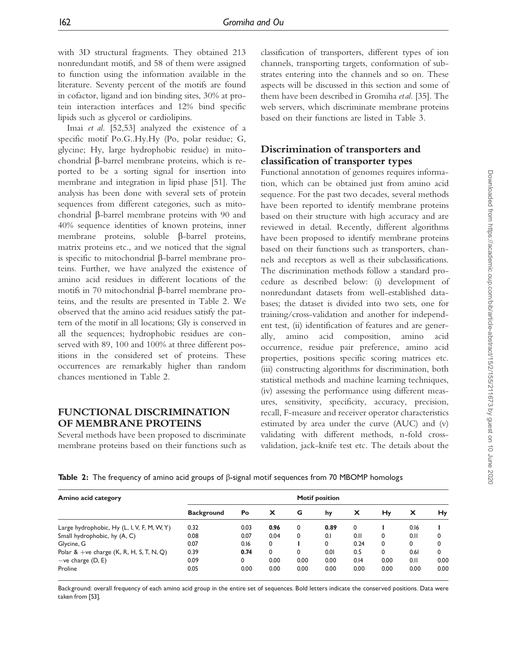with 3D structural fragments. They obtained 213 nonredundant motifs, and 58 of them were assigned to function using the information available in the literature. Seventy percent of the motifs are found in cofactor, ligand and ion binding sites, 30% at protein interaction interfaces and 12% bind specific lipids such as glycerol or cardiolipins.

Imai et al. [\[52](#page-12-0),[53](#page-12-0)] analyzed the existence of a specific motif Po.G..Hy.Hy (Po, polar residue; G, glycine; Hy, large hydrophobic residue) in mitochondrial  $\beta$ -barrel membrane proteins, which is reported to be a sorting signal for insertion into membrane and integration in lipid phase [\[51](#page-12-0)]. The analysis has been done with several sets of protein sequences from different categories, such as mitochondrial  $\beta$ -barrel membrane proteins with 90 and 40% sequence identities of known proteins, inner membrane proteins, soluble  $\beta$ -barrel proteins, matrix proteins etc., and we noticed that the signal is specific to mitochondrial  $\beta$ -barrel membrane proteins. Further, we have analyzed the existence of amino acid residues in different locations of the motifs in 70 mitochondrial  $\beta$ -barrel membrane proteins, and the results are presented in Table 2. We observed that the amino acid residues satisfy the pattern of the motif in all locations; Gly is conserved in all the sequences; hydrophobic residues are conserved with 89, 100 and 100% at three different positions in the considered set of proteins. These occurrences are remarkably higher than random chances mentioned in Table 2.

# FUNCTIONAL DISCRIMINATION OF MEMBRANE PROTEINS

Several methods have been proposed to discriminate membrane proteins based on their functions such as

classification of transporters, different types of ion channels, transporting targets, conformation of substrates entering into the channels and so on. These aspects will be discussed in this section and some of them have been described in Gromiha etal. [\[35\]](#page-12-0). The web servers, which discriminate membrane proteins based on their functions are listed in [Table 3.](#page-8-0)

# Discrimination of transporters and classification of transporter types

Functional annotation of genomes requires information, which can be obtained just from amino acid sequence. For the past two decades, several methods have been reported to identify membrane proteins based on their structure with high accuracy and are reviewed in detail. Recently, different algorithms have been proposed to identify membrane proteins based on their functions such as transporters, channels and receptors as well as their subclassifications. The discrimination methods follow a standard procedure as described below: (i) development of nonredundant datasets from well-established databases; the dataset is divided into two sets, one for training/cross-validation and another for independent test, (ii) identification of features and are generally, amino acid composition, amino acid occurrence, residue pair preference, amino acid properties, positions specific scoring matrices etc. (iii) constructing algorithms for discrimination, both statistical methods and machine learning techniques, (iv) assessing the performance using different measures, sensitivity, specificity, accuracy, precision, recall, F-measure and receiver operator characteristics estimated by area under the curve (AUC) and (v) validating with different methods, n-fold crossvalidation, jack-knife test etc. The details about the

**Table 2:** The frequency of amino acid groups of  $\beta$ -signal motif sequences from 70 MBOMP homologs

| Amino acid category                         | <b>Motif position</b> |      |      |      |      |          |           |      |          |
|---------------------------------------------|-----------------------|------|------|------|------|----------|-----------|------|----------|
|                                             | <b>Background</b>     | Po   | X    | G    | hy   | X        | <b>Hy</b> | x    | Hy       |
| Large hydrophobic, Hy (L, I, V, F, M, W, Y) | 0.32                  | 0.03 | 0.96 | 0    | 0.89 | $\Omega$ |           | 0.16 |          |
| Small hydrophobic, hy (A, C)                | 0.08                  | 0.07 | 0.04 | 0    | 0.1  | 0.11     | 0         | 0.11 | $\Omega$ |
| Glycine, G                                  | 0.07                  | 0.16 | 0    |      | 0    | 0.24     | 0         | 0    | $\Omega$ |
| Polar & +ve charge $(K, R, H, S, T, N, Q)$  | 0.39                  | 0.74 | 0    | 0    | 0.01 | 0.5      | 0         | 0.61 | 0        |
| $-$ ve charge (D, E)                        | 0.09                  | 0    | 0.00 | 0.00 | 0.00 | 0.14     | 0.00      | 0.11 | 0.00     |
| Proline                                     | 0.05                  | 0.00 | 0.00 | 0.00 | 0.00 | 0.00     | 0.00      | 0.00 | 0.00     |

Background: overall frequency of each amino acid group in the entire set of sequences. Bold letters indicate the conserved positions. Data were taken from [[53](#page-12-0)].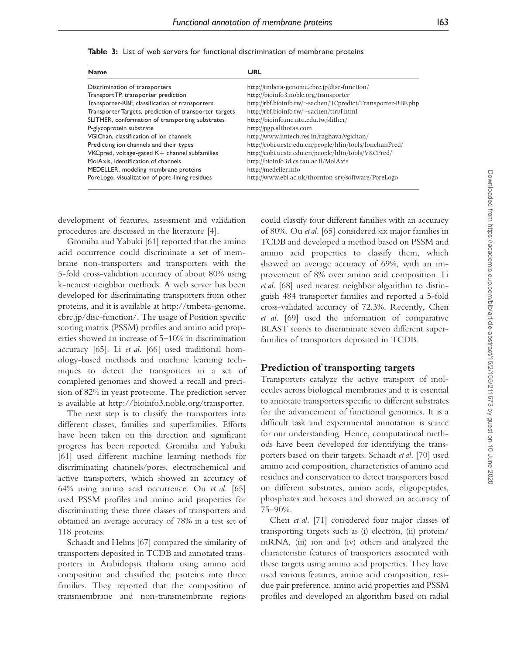| <b>Name</b>                                            | <b>URL</b>                                                  |
|--------------------------------------------------------|-------------------------------------------------------------|
| Discrimination of transporters                         | http://tmbeta-genome.cbrc.jp/disc-function/                 |
| TransportTP, transporter prediction                    | http://bioinfo3.noble.org/transporter                       |
| Transporter-RBF, classification of transporters        | http://rbf.bioinfo.tw/~sachen/TCpredict/Transporter-RBF.php |
| Transporter Targets, prediction of transporter targets | $http://rbf.bioinfo.tw/~sachen/ttrbf.html$                  |
| SLITHER, conformation of transporting substrates       | http://bioinfo.mc.ntu.edu.tw/slither/                       |
| P-glycoprotein substrate                               | http://pgp.althotas.com                                     |
| VGIChan, classification of ion channels                | http://www.imtech.res.in/raghava/vgichan/                   |
| Predicting ion channels and their types                | http://cobi.uestc.edu.cn/people/hlin/tools/IonchanPred/     |
| VKCpred, voltage-gated $K+$ channel subfamilies        | http://cobi.uestc.edu.cn/people/hlin/tools/VKCPred/         |
| MolAxis, identification of channels                    | http://bioinfo3d.cs.tau.ac.il/MolAxis                       |
| MEDELLER, modeling membrane proteins                   | http://medeller.info                                        |
| PoreLogo, visualization of pore-lining residues        | http://www.ebi.ac.uk/thornton-sry/software/PoreLogo         |
|                                                        |                                                             |

<span id="page-8-0"></span>Table 3: List of web servers for functional discrimination of membrane proteins

development of features, assessment and validation procedures are discussed in the literature [[4\]](#page-11-0).

Gromiha and Yabuki [\[61\]](#page-12-0) reported that the amino acid occurrence could discriminate a set of membrane non-transporters and transporters with the 5-fold cross-validation accuracy of about 80% using k-nearest neighbor methods. A web server has been developed for discriminating transporters from other proteins, and it is available at [http://tmbeta-genome.](http://tmbeta-genome.cbrc.jp/disc-function/) [cbrc.jp/disc-function/.](http://tmbeta-genome.cbrc.jp/disc-function/) The usage of Position specific scoring matrix (PSSM) profiles and amino acid properties showed an increase of 5–10% in discrimination accuracy [\[65](#page-12-0)]. Li et al. [[66\]](#page-12-0) used traditional homology-based methods and machine learning techniques to detect the transporters in a set of completed genomes and showed a recall and precision of 82% in yeast proteome. The prediction server is available at [http://bioinfo3.noble.org/transporter.](http://bioinfo3.noble.org/transporter)

The next step is to classify the transporters into different classes, families and superfamilies. Efforts have been taken on this direction and significant progress has been reported. Gromiha and Yabuki [\[61\]](#page-12-0) used different machine learning methods for discriminating channels/pores, electrochemical and active transporters, which showed an accuracy of 64% using amino acid occurrence. Ou et al. [\[65\]](#page-12-0) used PSSM profiles and amino acid properties for discriminating these three classes of transporters and obtained an average accuracy of 78% in a test set of 118 proteins.

Schaadt and Helms [[67](#page-12-0)] compared the similarity of transporters deposited in TCDB and annotated transporters in Arabidopsis thaliana using amino acid composition and classified the proteins into three families. They reported that the composition of transmembrane and non-transmembrane regions

could classify four different families with an accuracy of 80%. Ou et al. [\[65](#page-12-0)] considered six major families in TCDB and developed a method based on PSSM and amino acid properties to classify them, which showed an average accuracy of 69%, with an improvement of 8% over amino acid composition. Li et al. [\[68\]](#page-12-0) used nearest neighbor algorithm to distinguish 484 transporter families and reported a 5-fold cross-validated accuracy of 72.3%. Recently, Chen et al. [\[69\]](#page-13-0) used the information of comparative BLAST scores to discriminate seven different superfamilies of transporters deposited in TCDB.

# Prediction of transporting targets

Transporters catalyze the active transport of molecules across biological membranes and it is essential to annotate transporters specific to different substrates for the advancement of functional genomics. It is a difficult task and experimental annotation is scarce for our understanding. Hence, computational methods have been developed for identifying the transporters based on their targets. Schaadt et al. [[70\]](#page-13-0) used amino acid composition, characteristics of amino acid residues and conservation to detect transporters based on different substrates, amino acids, oligopeptides, phosphates and hexoses and showed an accuracy of 75–90%.

Chen et al. [[71](#page-13-0)] considered four major classes of transporting targets such as (i) electron, (ii) protein/ mRNA, (iii) ion and (iv) others and analyzed the characteristic features of transporters associated with these targets using amino acid properties. They have used various features, amino acid composition, residue pair preference, amino acid properties and PSSM profiles and developed an algorithm based on radial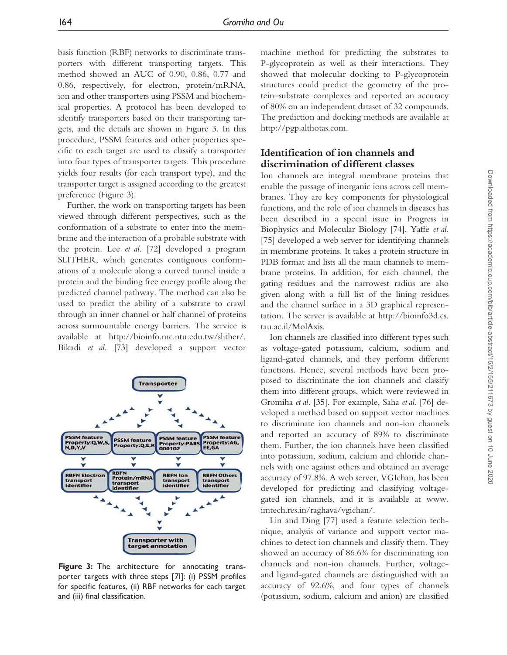basis function (RBF) networks to discriminate transporters with different transporting targets. This method showed an AUC of 0.90, 0.86, 0.77 and 0.86, respectively, for electron, protein/mRNA, ion and other transporters using PSSM and biochemical properties. A protocol has been developed to identify transporters based on their transporting targets, and the details are shown in Figure 3. In this procedure, PSSM features and other properties specific to each target are used to classify a transporter into four types of transporter targets. This procedure yields four results (for each transport type), and the transporter target is assigned according to the greatest preference (Figure 3).

Further, the work on transporting targets has been viewed through different perspectives, such as the conformation of a substrate to enter into the membrane and the interaction of a probable substrate with the protein. Lee et al. [\[72](#page-13-0)] developed a program SLITHER, which generates contiguous conformations of a molecule along a curved tunnel inside a protein and the binding free energy profile along the predicted channel pathway. The method can also be used to predict the ability of a substrate to crawl through an inner channel or half channel of proteins across surmountable energy barriers. The service is available at<http://bioinfo.mc.ntu.edu.tw/slither/>. Bikadi et al. [[73\]](#page-13-0) developed a support vector



**Figure 3:** The architecture for annotating transporter targets with three steps [\[71\]](#page-13-0): (i) PSSM profiles for specific features, (ii) RBF networks for each target and (iii) final classification.

machine method for predicting the substrates to P-glycoprotein as well as their interactions. They showed that molecular docking to P-glycoprotein structures could predict the geometry of the protein–substrate complexes and reported an accuracy of 80% on an independent dataset of 32 compounds. The prediction and docking methods are available at [http://pgp.althotas.com.](http://pgp.althotas.com)

# Identification of ion channels and discrimination of different classes

Ion channels are integral membrane proteins that enable the passage of inorganic ions across cell membranes. They are key components for physiological functions, and the role of ion channels in diseases has been described in a special issue in Progress in Biophysics and Molecular Biology [\[74\]](#page-13-0). Yaffe et al. [\[75](#page-13-0)] developed a web server for identifying channels in membrane proteins. It takes a protein structure in PDB format and lists all the main channels to membrane proteins. In addition, for each channel, the gating residues and the narrowest radius are also given along with a full list of the lining residues and the channel surface in a 3D graphical representation. The server is available at [http://bioinfo3d.cs.](http://bioinfo3d.cs.tau.ac.il/MolAxis) [tau.ac.il/MolAxis.](http://bioinfo3d.cs.tau.ac.il/MolAxis)

Ion channels are classified into different types such as voltage-gated potassium, calcium, sodium and ligand-gated channels, and they perform different functions. Hence, several methods have been proposed to discriminate the ion channels and classify them into different groups, which were reviewed in Gromiha et al. [[35\]](#page-12-0). For example, Saha et al. [\[76\]](#page-13-0) developed a method based on support vector machines to discriminate ion channels and non-ion channels and reported an accuracy of 89% to discriminate them. Further, the ion channels have been classified into potassium, sodium, calcium and chloride channels with one against others and obtained an average accuracy of 97.8%. A web server, VGIchan, has been developed for predicting and classifying voltagegated ion channels, and it is available at [www.](www.imtech.res.in/raghava/vgichan/) [imtech.res.in/raghava/vgichan/.](www.imtech.res.in/raghava/vgichan/)

Lin and Ding [[77\]](#page-13-0) used a feature selection technique, analysis of variance and support vector machines to detect ion channels and classify them. They showed an accuracy of 86.6% for discriminating ion channels and non-ion channels. Further, voltageand ligand-gated channels are distinguished with an accuracy of 92.6%, and four types of channels (potassium, sodium, calcium and anion) are classified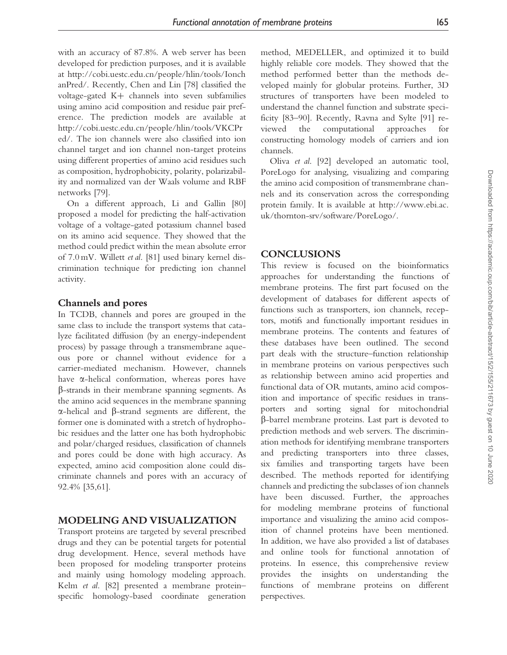with an accuracy of 87.8%. A web server has been developed for prediction purposes, and it is available at [http://cobi.uestc.edu.cn/people/hlin/tools/Ionch](http://cobi.uestc.edu.cn/people/hlin/tools/IonchanPred/) [anPred/.](http://cobi.uestc.edu.cn/people/hlin/tools/IonchanPred/) Recently, Chen and Lin [[78](#page-13-0)] classified the voltage-gated  $K<sub>+</sub>$  channels into seven subfamilies using amino acid composition and residue pair preference. The prediction models are available at [http://cobi.uestc.edu.cn/people/hlin/tools/VKCPr](http://cobi.uestc.edu.cn/people/hlin/tools/VKCPred/) [ed/](http://cobi.uestc.edu.cn/people/hlin/tools/VKCPred/). The ion channels were also classified into ion channel target and ion channel non-target proteins using different properties of amino acid residues such as composition, hydrophobicity, polarity, polarizability and normalized van der Waals volume and RBF networks [[79](#page-13-0)].

On a different approach, Li and Gallin [\[80\]](#page-13-0) proposed a model for predicting the half-activation voltage of a voltage-gated potassium channel based on its amino acid sequence. They showed that the method could predict within the mean absolute error of 7.0 mV. Willett et al. [\[81](#page-13-0)] used binary kernel discrimination technique for predicting ion channel activity.

#### Channels and pores

In TCDB, channels and pores are grouped in the same class to include the transport systems that catalyze facilitated diffusion (by an energy-independent process) by passage through a transmembrane aqueous pore or channel without evidence for a carrier-mediated mechanism. However, channels have  $\alpha$ -helical conformation, whereas pores have  $\beta$ -strands in their membrane spanning segments. As the amino acid sequences in the membrane spanning  $\alpha$ -helical and  $\beta$ -strand segments are different, the former one is dominated with a stretch of hydrophobic residues and the latter one has both hydrophobic and polar/charged residues, classification of channels and pores could be done with high accuracy. As expected, amino acid composition alone could discriminate channels and pores with an accuracy of 92.4% [[35,61\]](#page-12-0).

# MODELING AND VISUALIZATION

Transport proteins are targeted by several prescribed drugs and they can be potential targets for potential drug development. Hence, several methods have been proposed for modeling transporter proteins and mainly using homology modeling approach. Kelm et al. [\[82\]](#page-13-0) presented a membrane protein– specific homology-based coordinate generation method, MEDELLER, and optimized it to build highly reliable core models. They showed that the method performed better than the methods developed mainly for globular proteins. Further, 3D structures of transporters have been modeled to understand the channel function and substrate specificity [\[83–90](#page-13-0)]. Recently, Ravna and Sylte [[91\]](#page-13-0) reviewed the computational approaches for constructing homology models of carriers and ion channels.

Oliva et al. [\[92](#page-13-0)] developed an automatic tool, PoreLogo for analysing, visualizing and comparing the amino acid composition of transmembrane channels and its conservation across the corresponding protein family. It is available at [http://www.ebi.ac.](http://www.ebi.ac.uk/thornton-srv/software/PoreLogo/) [uk/thornton-srv/software/PoreLogo/.](http://www.ebi.ac.uk/thornton-srv/software/PoreLogo/)

## **CONCLUSIONS**

This review is focused on the bioinformatics approaches for understanding the functions of membrane proteins. The first part focused on the development of databases for different aspects of functions such as transporters, ion channels, receptors, motifs and functionally important residues in membrane proteins. The contents and features of these databases have been outlined. The second part deals with the structure–function relationship in membrane proteins on various perspectives such as relationship between amino acid properties and functional data of OR mutants, amino acid composition and importance of specific residues in transporters and sorting signal for mitochondrial b-barrel membrane proteins. Last part is devoted to prediction methods and web servers. The discrimination methods for identifying membrane transporters and predicting transporters into three classes, six families and transporting targets have been described. The methods reported for identifying channels and predicting the subclasses of ion channels have been discussed. Further, the approaches for modeling membrane proteins of functional importance and visualizing the amino acid composition of channel proteins have been mentioned. In addition, we have also provided a list of databases and online tools for functional annotation of proteins. In essence, this comprehensive review provides the insights on understanding the functions of membrane proteins on different perspectives.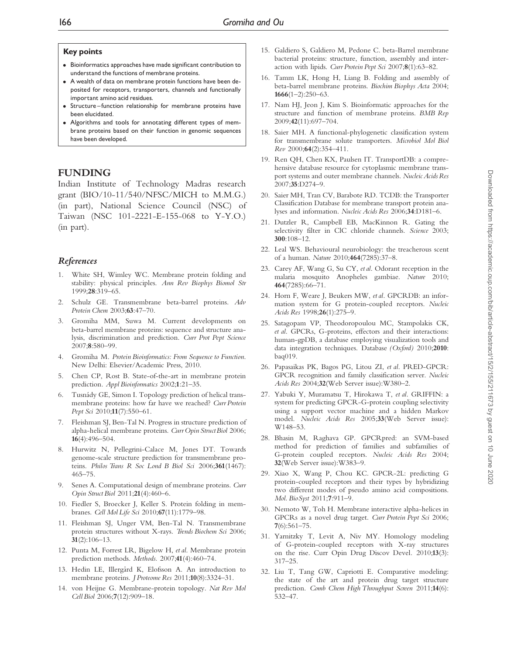#### <span id="page-11-0"></span>Key points

- Bioinformatics approaches have made significant contribution to understand the functions of membrane proteins.
- A wealth of data on membrane protein functions have been deposited for receptors, transporters, channels and functionally important amino acid residues.
- Structure-function relationship for membrane proteins have been elucidated.
- Algorithms and tools for annotating different types of membrane proteins based on their function in genomic sequences have been developed.

## FUNDING

Indian Institute of Technology Madras research grant (BIO/10-11/540/NFSC/MICH to M.M.G.) (in part), National Science Council (NSC) of Taiwan (NSC 101-2221-E-155-068 to Y-Y.O.) (in part).

#### References

- 1. White SH, Wimley WC. Membrane protein folding and stability: physical principles. Ann Rev Biophys Biomol Str 1999;28:319–65.
- 2. Schulz GE. Transmembrane beta-barrel proteins. Adv Protein Chem 2003;63:47–70.
- 3. Gromiha MM, Suwa M. Current developments on beta-barrel membrane proteins: sequence and structure analysis, discrimination and prediction. Curr Prot Pept Science 2007;8:580–99.
- 4. Gromiha M. Protein Bioinformatics: From Sequence to Function. New Delhi: Elsevier/Academic Press, 2010.
- 5. Chen CP, Rost B. State-of-the-art in membrane protein prediction. Appl Bioinformatics 2002;1:21–35.
- 6. Tusna´dy GE, Simon I. Topology prediction of helical transmembrane proteins: how far have we reached? Curr Protein Pept Sci 2010;11(7):550-61.
- 7. Fleishman SJ, Ben-Tal N. Progress in structure prediction of alpha-helical membrane proteins. Curr Opin Struct Biol 2006; 16(4):496–504.
- 8. Hurwitz N, Pellegrini-Calace M, Jones DT. Towards genome-scale structure prediction for transmembrane proteins. Philos Trans R Soc Lond B Biol Sci 2006;361(1467): 465–75.
- 9. Senes A. Computational design of membrane proteins. Curr Opin Struct Biol 2011;21(4):460–6.
- 10. Fiedler S, Broecker J, Keller S. Protein folding in membranes. Cell Mol Life Sci 2010;67(11):1779–98.
- 11. Fleishman SJ, Unger VM, Ben-Tal N. Transmembrane protein structures without X-rays. Trends Biochem Sci 2006;  $31(2):106-13.$
- 12. Punta M, Forrest LR, Bigelow H, et al. Membrane protein prediction methods. Methods. 2007;41(4):460–74.
- 13. Hedin LE, Illergård K, Elofsson A. An introduction to membrane proteins. J Proteome Res 2011;10(8):3324–31.
- 14. von Heijne G. Membrane-protein topology. Nat Rev Mol Cell Biol 2006;7(12):909–18.
- 15. Galdiero S, Galdiero M, Pedone C. beta-Barrel membrane bacterial proteins: structure, function, assembly and interaction with lipids. Curr Protein Pept Sci 2007;8(1):63–82.
- 16. Tamm LK, Hong H, Liang B. Folding and assembly of beta-barrel membrane proteins. Biochim Biophys Acta 2004; 1666(1–2):250–63.
- 17. Nam HJ, Jeon J, Kim S. Bioinformatic approaches for the structure and function of membrane proteins. BMB Rep 2009;42(11):697–704.
- 18. Saier MH. A functional-phylogenetic classification system for transmembrane solute transporters. Microbiol Mol Biol Rev 2000;64(2):354–411.
- 19. Ren QH, Chen KX, Paulsen IT. TransportDB: a comprehensive database resource for cytoplasmic membrane transport systems and outer membrane channels. Nucleic Acids Res 2007;35:D274–9.
- 20. Saier MH, Tran CV, Barabote RD. TCDB: the Transporter Classification Database for membrane transport protein analyses and information. Nucleic Acids Res 2006;34:D181–6.
- 21. Dutzler R, Campbell EB, MacKinnon R. Gating the selectivity filter in ClC chloride channels. Science 2003; 300:108–12.
- 22. Leal WS. Behavioural neurobiology: the treacherous scent of a human. Nature 2010;464(7285):37–8.
- 23. Carey AF, Wang G, Su CY, et al. Odorant reception in the malaria mosquito Anopheles gambiae. Nature 2010; 464(7285):66–71.
- 24. Horn F, Weare J, Beukers MW, et al. GPCRDB: an information system for G protein-coupled receptors. Nucleic Acids Res 1998;26(1):275–9.
- 25. Satagopam VP, Theodoropoulou MC, Stampolakis CK, et al. GPCRs, G-proteins, effectors and their interactions: human-gpDB, a database employing visualization tools and data integration techniques. Database (Oxford) 2010;2010: baq019.
- 26. Papasaikas PK, Bagos PG, Litou ZI, et al. PRED-GPCR: GPCR recognition and family classification server. Nucleic Acids Res 2004;32(Web Server issue):W380–2.
- 27. Yabuki Y, Muramatsu T, Hirokawa T, et al. GRIFFIN: a system for predicting GPCR-G-protein coupling selectivity using a support vector machine and a hidden Markov model. Nucleic Acids Res 2005;33(Web Server issue): W148–53.
- 28. Bhasin M, Raghava GP. GPCRpred: an SVM-based method for prediction of families and subfamilies of G-protein coupled receptors. Nucleic Acids Res 2004; 32(Web Server issue):W383–9.
- 29. Xiao X, Wang P, Chou KC. GPCR-2L: predicting G protein-coupled receptors and their types by hybridizing two different modes of pseudo amino acid compositions. Mol. BioSyst 2011;7:911–9.
- 30. Nemoto W, Toh H. Membrane interactive alpha-helices in GPCRs as a novel drug target. Curr Protein Pept Sci 2006; 7(6):561–75.
- 31. Yarnitzky T, Levit A, Niv MY. Homology modeling of G-protein-coupled receptors with X-ray structures on the rise. Curr Opin Drug Discov Devel. 2010;13(3): 317–25.
- 32. Liu T, Tang GW, Capriotti E. Comparative modeling: the state of the art and protein drug target structure prediction. Comb Chem High Throughput Screen 2011;14(6): 532–47.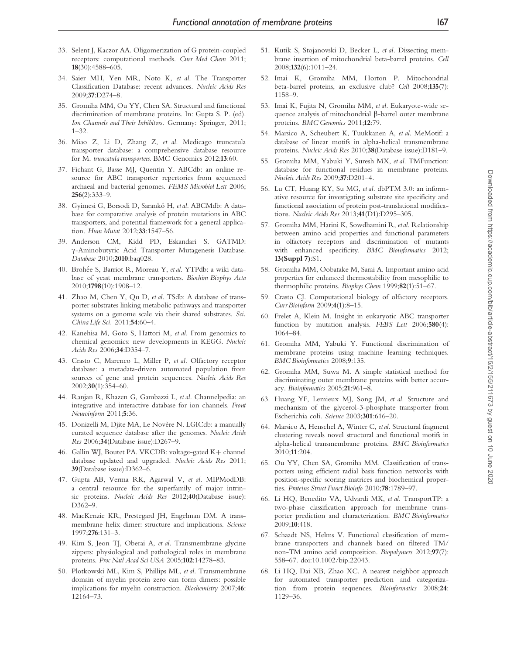- <span id="page-12-0"></span>33. Selent J, Kaczor AA. Oligomerization of G protein-coupled receptors: computational methods. Curr Med Chem 2011; 18(30):4588–605.
- 34. Saier MH, Yen MR, Noto K, et al. The Transporter Classification Database: recent advances. Nucleic Acids Res 2009;37:D274–8.
- 35. Gromiha MM, Ou YY, Chen SA. Structural and functional discrimination of membrane proteins. In: Gupta S. P. (ed). Ion Channels and Their Inhibitors. Germany: Springer, 2011; 1–32.
- 36. Miao Z, Li D, Zhang Z, et al. Medicago truncatula transporter database: a comprehensive database resource for M. truncatula transporters. BMC Genomics 2012;13:60.
- 37. Fichant G, Basse MJ, Quentin Y. ABCdb: an online resource for ABC transporter repertories from sequenced archaeal and bacterial genomes. FEMS Microbiol Lett 2006; 256(2):333–9.
- 38. Gyimesi G, Borsodi D, Sarankó H, et al. ABCMdb: A database for comparative analysis of protein mutations in ABC transporters, and potential framework for a general application. Hum Mutat 2012;33:1547–56.
- 39. Anderson CM, Kidd PD, Eskandari S. GATMD: g-Aminobutyric Acid Transporter Mutagenesis Database. Database 2010;2010:baq028.
- 40. Brohée S, Barriot R, Moreau Y, et al. YTPdb: a wiki database of yeast membrane transporters. Biochim Biophys Acta 2010;1798(10):1908–12.
- 41. Zhao M, Chen Y, Qu D, et al. TSdb: A database of transporter substrates linking metabolic pathways and transporter systems on a genome scale via their shared substrates. Sci. China Life Sci. 2011;54:60–4.
- 42. Kanehisa M, Goto S, Hattori M, et al. From genomics to chemical genomics: new developments in KEGG. Nucleic Acids Res 2006;34:D354–7.
- 43. Crasto C, Marenco L, Miller P, et al. Olfactory receptor database: a metadata-driven automated population from sources of gene and protein sequences. Nucleic Acids Res 2002;30(1):354–60.
- 44. Ranjan R, Khazen G, Gambazzi L, et al. Channelpedia: an integrative and interactive database for ion channels. Front Neuroinform 2011;5:36.
- 45. Donizelli M, Djite MA, Le Novère N. LGICdb: a manually curated sequence database after the genomes. Nucleic Acids Res 2006;34(Database issue):D267–9.
- 46. Gallin WJ, Boutet PA. VKCDB: voltage-gated K+ channel database updated and upgraded. Nucleic Acids Res 2011; 39(Database issue):D362–6.
- 47. Gupta AB, Verma RK, Agarwal V, et al. MIPModDB: a central resource for the superfamily of major intrinsic proteins. Nucleic Acids Res 2012;40(Database issue): D362–9.
- 48. MacKenzie KR, Prestegard JH, Engelman DM. A transmembrane helix dimer: structure and implications. Science 1997;276:131–3.
- 49. Kim S, Jeon TJ, Oberai A, et al. Transmembrane glycine zippers: physiological and pathological roles in membrane proteins. Proc Natl Acad Sci USA 2005;102:14278-83.
- 50. Plotkowski ML, Kim S, Phillips ML, et al. Transmembrane domain of myelin protein zero can form dimers: possible implications for myelin construction. Biochemistry 2007;46: 12164–73.
- 51. Kutik S, Stojanovski D, Becker L, et al. Dissecting membrane insertion of mitochondrial beta-barrel proteins. Cell 2008;132(6):1011–24.
- 52. Imai K, Gromiha MM, Horton P. Mitochondrial beta-barrel proteins, an exclusive club? Cell 2008;135(7): 1158–9.
- 53. Imai K, Fujita N, Gromiha MM, et al. Eukaryote-wide sequence analysis of mitochondrial  $\beta$ -barrel outer membrane proteins. BMC Genomics 2011;12:79.
- 54. Marsico A, Scheubert K, Tuukkanen A, et al. MeMotif: a database of linear motifs in alpha-helical transmembrane proteins. Nucleic Acids Res 2010;38(Database issue):D181–9.
- 55. Gromiha MM, Yabuki Y, Suresh MX, et al. TMFunction: database for functional residues in membrane proteins. Nucleic Acids Res 2009;37:D201–4.
- 56. Lu CT, Huang KY, Su MG, et al. dbPTM 3.0: an informative resource for investigating substrate site specificity and functional association of protein post-translational modifications. Nucleic Acids Res 2013;41(D1):D295–305.
- 57. Gromiha MM, Harini K, Sowdhamini R, etal. Relationship between amino acid properties and functional parameters in olfactory receptors and discrimination of mutants with enhanced specificity. BMC Bioinformatics 2012; 13(Suppl 7):S1.
- 58. Gromiha MM, Oobatake M, Sarai A. Important amino acid properties for enhanced thermostability from mesophilic to thermophilic proteins. Biophys Chem 1999;82(1):51-67.
- 59. Crasto CJ. Computational biology of olfactory receptors. Curr Bioinform 2009;4(1):8–15.
- 60. Frelet A, Klein M. Insight in eukaryotic ABC transporter function by mutation analysis. FEBS Lett 2006;580(4): 1064–84.
- 61. Gromiha MM, Yabuki Y. Functional discrimination of membrane proteins using machine learning techniques. BMC Bioinformatics 2008;9:135.
- 62. Gromiha MM, Suwa M. A simple statistical method for discriminating outer membrane proteins with better accuracy. Bioinformatics 2005;21:961–8.
- 63. Huang YF, Lemieux MJ, Song JM, et al. Structure and mechanism of the glycerol-3-phosphate transporter from Escherichia coli. Science 2003;301:616–20.
- 64. Marsico A, Henschel A, Winter C, et al. Structural fragment clustering reveals novel structural and functional motifs in alpha-helical transmembrane proteins. BMC Bioinformatics 2010;11:204.
- 65. Ou YY, Chen SA, Gromiha MM. Classification of transporters using efficient radial basis function networks with position-specific scoring matrices and biochemical properties. Proteins Struct Funct Bioinfo 2010;78:1789–97.
- 66. Li HQ, Benedito VA, Udvardi MK, et al. TransportTP: a two-phase classification approach for membrane transporter prediction and characterization. BMC Bioinformatics 2009;10:418.
- 67. Schaadt NS, Helms V. Functional classification of membrane transporters and channels based on filtered TM/ non-TM amino acid composition. Biopolymers 2012;97(7): 558–67. doi:10.1002/bip.22043.
- 68. Li HQ, Dai XB, Zhao XC. A nearest neighbor approach for automated transporter prediction and categorization from protein sequences. Bioinformatics 2008;24: 1129–36.